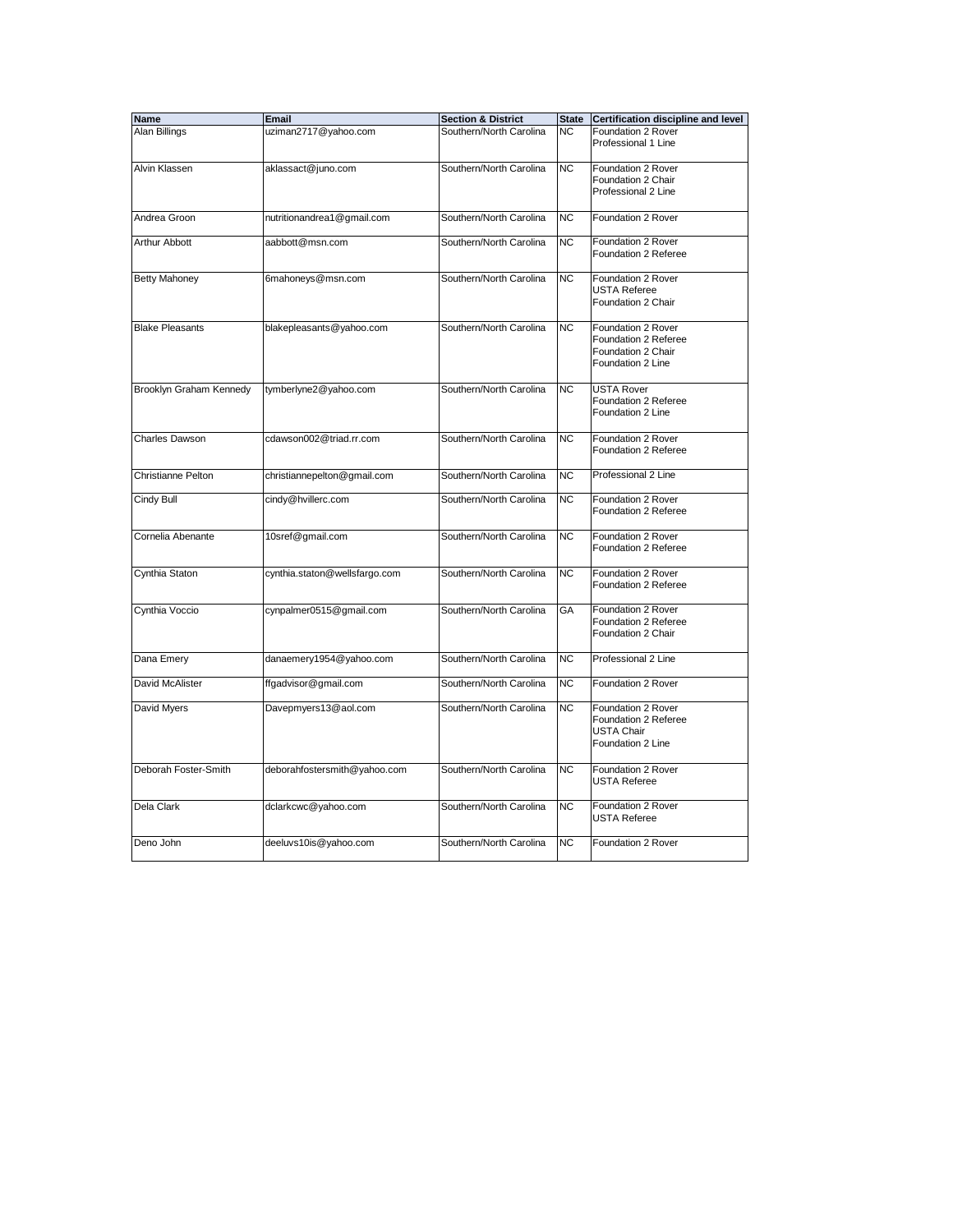| Name                    | Email                         | <b>Section &amp; District</b> | <b>State</b>   | <b>Certification discipline and level</b>                                             |
|-------------------------|-------------------------------|-------------------------------|----------------|---------------------------------------------------------------------------------------|
| Alan Billings           | uziman2717@yahoo.com          | Southern/North Carolina       | <b>NC</b>      | Foundation 2 Rover<br>Professional 1 Line                                             |
| Alvin Klassen           | aklassact@juno.com            | Southern/North Carolina       | N <sub>C</sub> | Foundation 2 Rover<br>Foundation 2 Chair<br>Professional 2 Line                       |
| Andrea Groon            | nutritionandrea1@gmail.com    | Southern/North Carolina       | <b>NC</b>      | Foundation 2 Rover                                                                    |
| Arthur Abbott           | aabbott@msn.com               | Southern/North Carolina       | <b>NC</b>      | Foundation 2 Rover<br>Foundation 2 Referee                                            |
| <b>Betty Mahoney</b>    | 6mahoneys@msn.com             | Southern/North Carolina       | <b>NC</b>      | Foundation 2 Rover<br><b>USTA Referee</b><br>Foundation 2 Chair                       |
| <b>Blake Pleasants</b>  | blakepleasants@yahoo.com      | Southern/North Carolina       | <b>NC</b>      | Foundation 2 Rover<br>Foundation 2 Referee<br>Foundation 2 Chair<br>Foundation 2 Line |
| Brooklyn Graham Kennedy | tymberlyne2@yahoo.com         | Southern/North Carolina       | <b>NC</b>      | <b>USTA Rover</b><br>Foundation 2 Referee<br>Foundation 2 Line                        |
| Charles Dawson          | cdawson002@triad.rr.com       | Southern/North Carolina       | <b>NC</b>      | Foundation 2 Rover<br>Foundation 2 Referee                                            |
| Christianne Pelton      | christiannepelton@gmail.com   | Southern/North Carolina       | <b>NC</b>      | Professional 2 Line                                                                   |
| Cindy Bull              | cindy@hvillerc.com            | Southern/North Carolina       | <b>NC</b>      | Foundation 2 Rover<br>Foundation 2 Referee                                            |
| Cornelia Abenante       | 10sref@gmail.com              | Southern/North Carolina       | <b>NC</b>      | Foundation 2 Rover<br>Foundation 2 Referee                                            |
| Cynthia Staton          | cynthia.staton@wellsfargo.com | Southern/North Carolina       | N <sub>C</sub> | Foundation 2 Rover<br>Foundation 2 Referee                                            |
| Cynthia Voccio          | cynpalmer0515@gmail.com       | Southern/North Carolina       | GA             | Foundation 2 Rover<br>Foundation 2 Referee<br>Foundation 2 Chair                      |
| Dana Emery              | danaemery1954@yahoo.com       | Southern/North Carolina       | <b>NC</b>      | Professional 2 Line                                                                   |
| David McAlister         | ffgadvisor@gmail.com          | Southern/North Carolina       | <b>NC</b>      | Foundation 2 Rover                                                                    |
| David Myers             | Davepmyers13@aol.com          | Southern/North Carolina       | <b>NC</b>      | Foundation 2 Rover<br>Foundation 2 Referee<br><b>USTA Chair</b><br>Foundation 2 Line  |
| Deborah Foster-Smith    | deborahfostersmith@yahoo.com  | Southern/North Carolina       | <b>NC</b>      | Foundation 2 Rover<br><b>USTA Referee</b>                                             |
| Dela Clark              | dclarkcwc@yahoo.com           | Southern/North Carolina       | <b>NC</b>      | Foundation 2 Rover<br><b>USTA Referee</b>                                             |
| Deno John               | deeluvs10is@yahoo.com         | Southern/North Carolina       | <b>NC</b>      | Foundation 2 Rover                                                                    |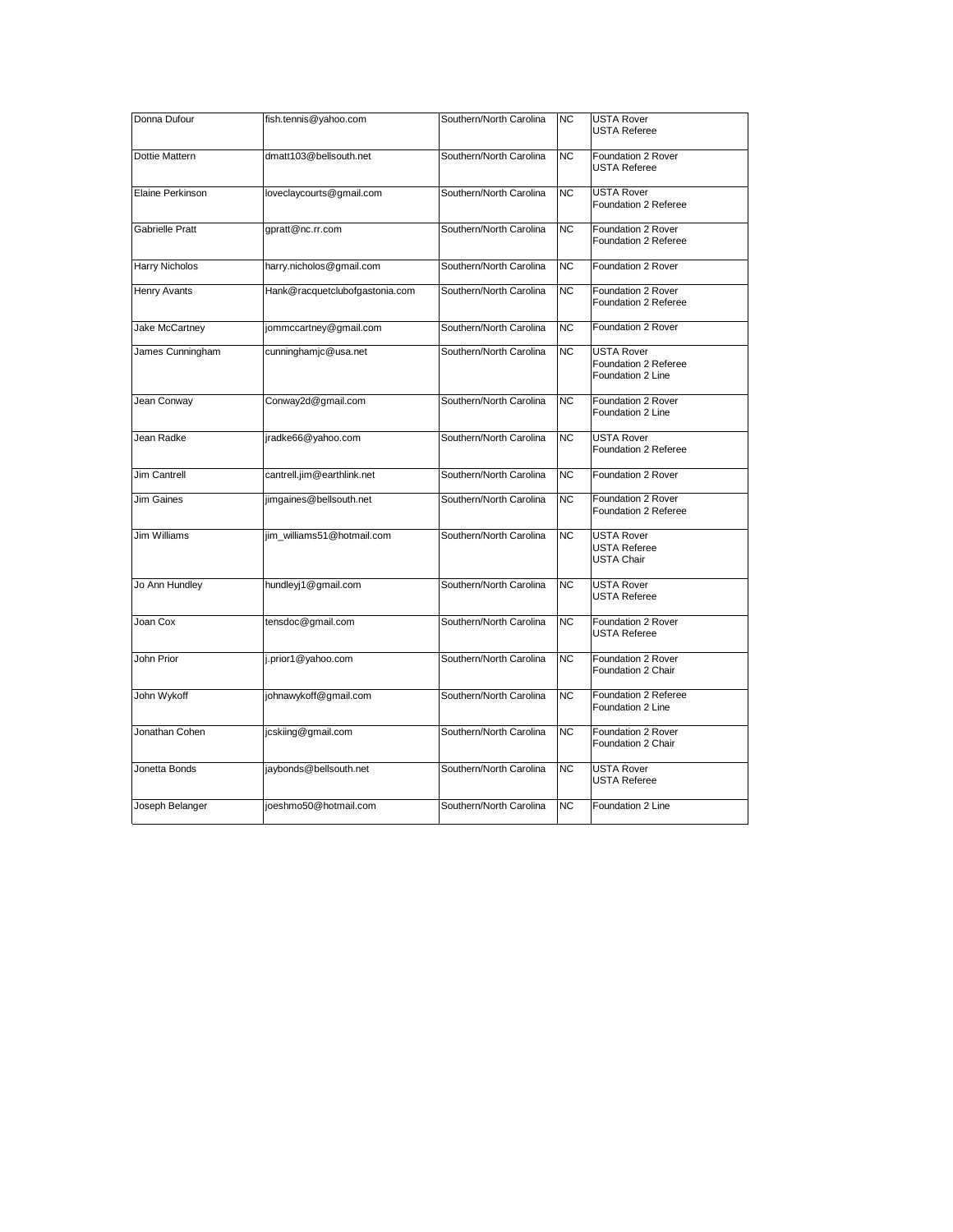| Donna Dufour           | fish.tennis@yahoo.com          | Southern/North Carolina | NC.            | <b>USTA Rover</b><br><b>USTA Referee</b>                       |
|------------------------|--------------------------------|-------------------------|----------------|----------------------------------------------------------------|
| Dottie Mattern         | dmatt103@bellsouth.net         | Southern/North Carolina | N <sub>C</sub> | Foundation 2 Rover<br>USTA Referee                             |
| Elaine Perkinson       | loveclaycourts@gmail.com       | Southern/North Carolina | N <sub>C</sub> | <b>USTA Rover</b><br>Foundation 2 Referee                      |
| <b>Gabrielle Pratt</b> | gpratt@nc.rr.com               | Southern/North Carolina | N <sub>C</sub> | Foundation 2 Rover<br><b>Foundation 2 Referee</b>              |
| Harry Nicholos         | harry.nicholos@gmail.com       | Southern/North Carolina | NC             | Foundation 2 Rover                                             |
| Henry Avants           | Hank@racquetclubofgastonia.com | Southern/North Carolina | NC.            | Foundation 2 Rover<br>Foundation 2 Referee                     |
| Jake McCartney         | jommccartney@gmail.com         | Southern/North Carolina | N <sub>C</sub> | Foundation 2 Rover                                             |
| James Cunningham       | cunninghamjc@usa.net           | Southern/North Carolina | NC.            | <b>USTA Rover</b><br>Foundation 2 Referee<br>Foundation 2 Line |
| Jean Conway            | Conway2d@gmail.com             | Southern/North Carolina | <b>NC</b>      | Foundation 2 Rover<br>Foundation 2 Line                        |
| Jean Radke             | jradke66@yahoo.com             | Southern/North Carolina | <b>NC</b>      | <b>USTA Rover</b><br><b>Foundation 2 Referee</b>               |
| <b>Jim Cantrell</b>    | cantrell.jim@earthlink.net     | Southern/North Carolina | <b>NC</b>      | Foundation 2 Rover                                             |
| Jim Gaines             | jimgaines@bellsouth.net        | Southern/North Carolina | <b>NC</b>      | Foundation 2 Rover<br>Foundation 2 Referee                     |
| <b>Jim Williams</b>    | jim_williams51@hotmail.com     | Southern/North Carolina | N <sub>C</sub> | <b>USTA Rover</b><br><b>USTA Referee</b><br><b>USTA Chair</b>  |
| Jo Ann Hundley         | hundleyj1@gmail.com            | Southern/North Carolina | <b>NC</b>      | <b>USTA Rover</b><br><b>USTA Referee</b>                       |
| Joan Cox               | tensdoc@gmail.com              | Southern/North Carolina | N <sub>C</sub> | Foundation 2 Rover<br><b>USTA Referee</b>                      |
| John Prior             | j.prior1@yahoo.com             | Southern/North Carolina | <b>NC</b>      | Foundation 2 Rover<br>Foundation 2 Chair                       |
| John Wykoff            | johnawykoff@gmail.com          | Southern/North Carolina | <b>NC</b>      | Foundation 2 Referee<br>Foundation 2 Line                      |
| Jonathan Cohen         | jcskiing@gmail.com             | Southern/North Carolina | N <sub>C</sub> | Foundation 2 Rover<br>Foundation 2 Chair                       |
| Jonetta Bonds          | jaybonds@bellsouth.net         | Southern/North Carolina | N <sub>C</sub> | <b>USTA Rover</b><br>USTA Referee                              |
| Joseph Belanger        | joeshmo50@hotmail.com          | Southern/North Carolina | NC.            | Foundation 2 Line                                              |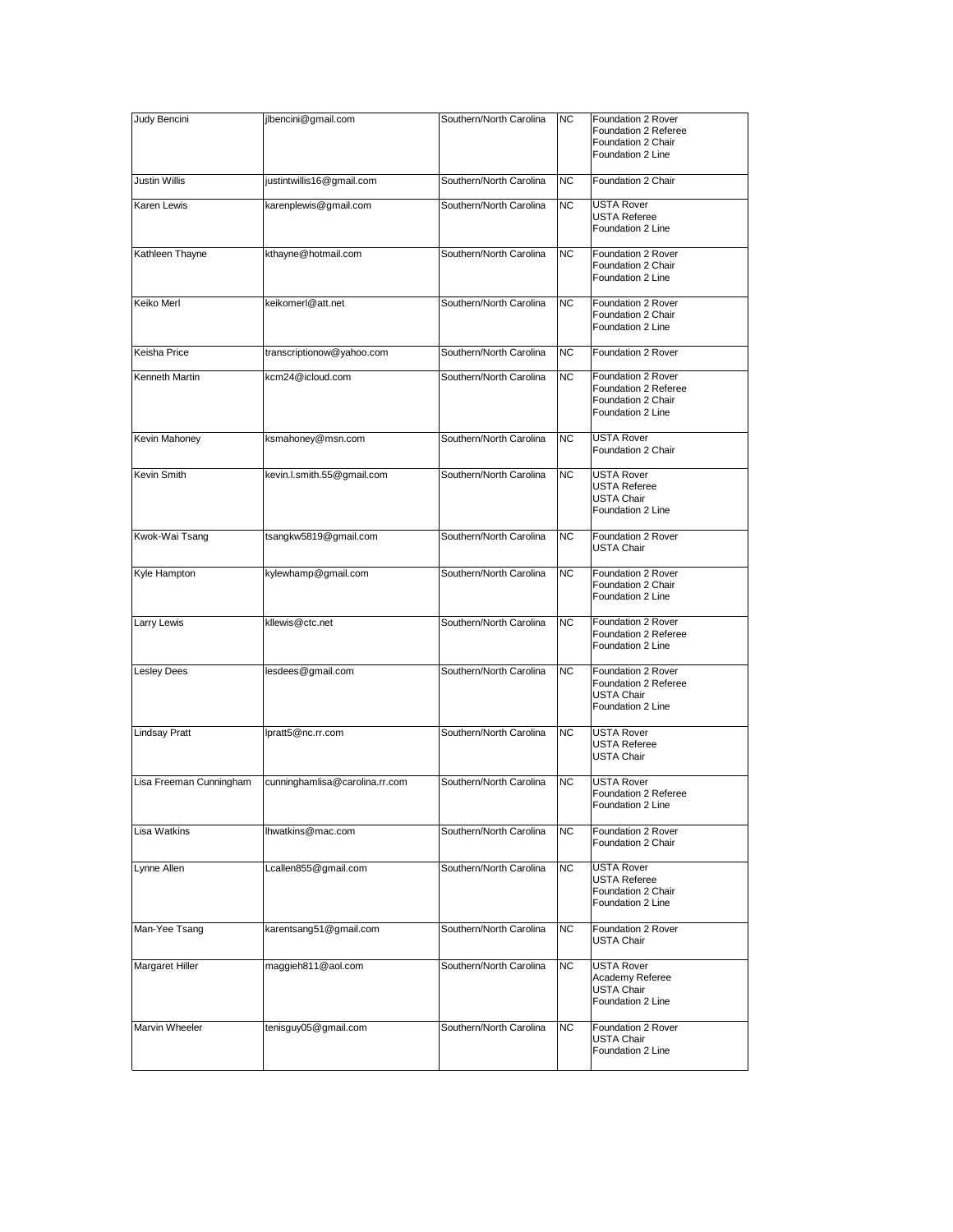| Judy Bencini            | jlbencini@gmail.com            | Southern/North Carolina | <b>NC</b> | Foundation 2 Rover<br>Foundation 2 Referee<br>Foundation 2 Chair<br>Foundation 2 Line |
|-------------------------|--------------------------------|-------------------------|-----------|---------------------------------------------------------------------------------------|
| Justin Willis           | justintwillis16@gmail.com      | Southern/North Carolina | <b>NC</b> | Foundation 2 Chair                                                                    |
| Karen Lewis             | karenplewis@gmail.com          | Southern/North Carolina | NC.       | USTA Rover<br><b>USTA Referee</b><br>Foundation 2 Line                                |
| Kathleen Thayne         | kthayne@hotmail.com            | Southern/North Carolina | <b>NC</b> | Foundation 2 Rover<br>Foundation 2 Chair<br>Foundation 2 Line                         |
| Keiko Merl              | keikomerl@att.net              | Southern/North Carolina | <b>NC</b> | Foundation 2 Rover<br>Foundation 2 Chair<br>Foundation 2 Line                         |
| Keisha Price            | transcriptionow@yahoo.com      | Southern/North Carolina | <b>NC</b> | Foundation 2 Rover                                                                    |
| Kenneth Martin          | kcm24@icloud.com               | Southern/North Carolina | <b>NC</b> | Foundation 2 Rover<br>Foundation 2 Referee<br>Foundation 2 Chair<br>Foundation 2 Line |
| Kevin Mahoney           | ksmahoney@msn.com              | Southern/North Carolina | <b>NC</b> | <b>USTA Rover</b><br>Foundation 2 Chair                                               |
| Kevin Smith             | kevin.l.smith.55@gmail.com     | Southern/North Carolina | <b>NC</b> | <b>USTA Rover</b><br><b>USTA Referee</b><br><b>USTA Chair</b><br>Foundation 2 Line    |
| Kwok-Wai Tsang          | tsangkw5819@gmail.com          | Southern/North Carolina | <b>NC</b> | Foundation 2 Rover<br><b>USTA Chair</b>                                               |
| Kyle Hampton            | kylewhamp@gmail.com            | Southern/North Carolina | <b>NC</b> | Foundation 2 Rover<br>Foundation 2 Chair<br>Foundation 2 Line                         |
| Larry Lewis             | kllewis@ctc.net                | Southern/North Carolina | <b>NC</b> | Foundation 2 Rover<br>Foundation 2 Referee<br>Foundation 2 Line                       |
| Lesley Dees             | lesdees@gmail.com              | Southern/North Carolina | NC.       | Foundation 2 Rover<br>Foundation 2 Referee<br><b>USTA Chair</b><br>Foundation 2 Line  |
| <b>Lindsay Pratt</b>    | lpratt5@nc.rr.com              | Southern/North Carolina | <b>NC</b> | <b>USTA Rover</b><br>USTA Referee<br><b>USTA Chair</b>                                |
| Lisa Freeman Cunningham | cunninghamlisa@carolina.rr.com | Southern/North Carolina | <b>NC</b> | USTA Rover<br>Foundation 2 Referee<br>Foundation 2 Line                               |
| Lisa Watkins            | Ihwatkins@mac.com              | Southern/North Carolina | <b>NC</b> | Foundation 2 Rover<br>Foundation 2 Chair                                              |
| Lynne Allen             | Lcallen855@gmail.com           | Southern/North Carolina | NC.       | <b>USTA Rover</b><br><b>USTA Referee</b><br>Foundation 2 Chair<br>Foundation 2 Line   |
| Man-Yee Tsang           | karentsang51@gmail.com         | Southern/North Carolina | <b>NC</b> | Foundation 2 Rover<br>USTA Chair                                                      |
| Margaret Hiller         | maggieh811@aol.com             | Southern/North Carolina | NC.       | <b>USTA Rover</b><br>Academy Referee<br><b>USTA Chair</b><br>Foundation 2 Line        |
| Marvin Wheeler          | tenisguy05@gmail.com           | Southern/North Carolina | <b>NC</b> | Foundation 2 Rover<br>USTA Chair<br>Foundation 2 Line                                 |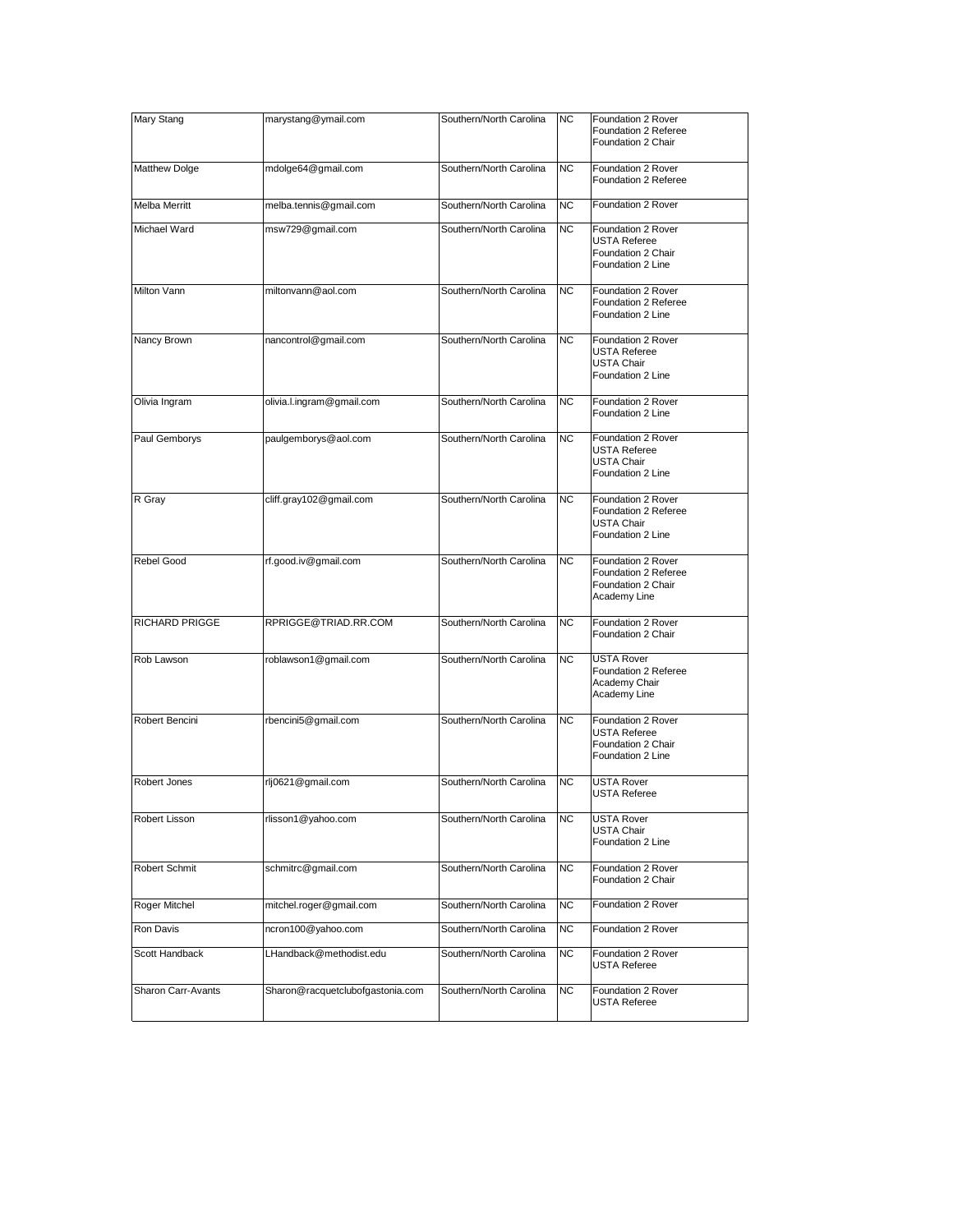| Mary Stang            | marystang@ymail.com              | Southern/North Carolina | NC             | Foundation 2 Rover<br>Foundation 2 Referee<br>Foundation 2 Chair                     |
|-----------------------|----------------------------------|-------------------------|----------------|--------------------------------------------------------------------------------------|
| Matthew Dolge         | mdolge64@gmail.com               | Southern/North Carolina | <b>NC</b>      | Foundation 2 Rover<br>Foundation 2 Referee                                           |
| Melba Merritt         | melba.tennis@gmail.com           | Southern/North Carolina | <b>NC</b>      | Foundation 2 Rover                                                                   |
| Michael Ward          | msw729@gmail.com                 | Southern/North Carolina | <b>NC</b>      | Foundation 2 Rover<br><b>USTA Referee</b><br>Foundation 2 Chair<br>Foundation 2 Line |
| Milton Vann           | miltonvann@aol.com               | Southern/North Carolina | N <sub>C</sub> | Foundation 2 Rover<br>Foundation 2 Referee<br>Foundation 2 Line                      |
| Nancy Brown           | nancontrol@gmail.com             | Southern/North Carolina | NC.            | Foundation 2 Rover<br><b>USTA Referee</b><br><b>USTA Chair</b><br>Foundation 2 Line  |
| Olivia Ingram         | olivia.l.ingram@gmail.com        | Southern/North Carolina | <b>NC</b>      | Foundation 2 Rover<br>Foundation 2 Line                                              |
| Paul Gemborys         | paulgemborys@aol.com             | Southern/North Carolina | <b>NC</b>      | Foundation 2 Rover<br><b>USTA Referee</b><br><b>USTA Chair</b><br>Foundation 2 Line  |
| R Gray                | cliff.gray102@gmail.com          | Southern/North Carolina | <b>NC</b>      | Foundation 2 Rover<br>Foundation 2 Referee<br><b>USTA Chair</b><br>Foundation 2 Line |
| Rebel Good            | rf.good.iv@gmail.com             | Southern/North Carolina | N <sub>C</sub> | Foundation 2 Rover<br>Foundation 2 Referee<br>Foundation 2 Chair<br>Academy Line     |
| <b>RICHARD PRIGGE</b> | RPRIGGE@TRIAD.RR.COM             | Southern/North Carolina | <b>NC</b>      | Foundation 2 Rover<br>Foundation 2 Chair                                             |
| Rob Lawson            | roblawson1@gmail.com             | Southern/North Carolina | NC.            | <b>USTA Rover</b><br>Foundation 2 Referee<br>Academy Chair<br>Academy Line           |
| Robert Bencini        | rbencini5@gmail.com              | Southern/North Carolina | <b>NC</b>      | Foundation 2 Rover<br><b>USTA Referee</b><br>Foundation 2 Chair<br>Foundation 2 Line |
| Robert Jones          | rlj0621@gmail.com                | Southern/North Carolina | NC.            | <b>USTA Rover</b><br><b>USTA Referee</b>                                             |
| Robert Lisson         | rlisson1@yahoo.com               | Southern/North Carolina | NC.            | <b>USTA Rover</b><br><b>USTA Chair</b><br>Foundation 2 Line                          |
| Robert Schmit         | schmitrc@gmail.com               | Southern/North Carolina | <b>NC</b>      | Foundation 2 Rover<br>Foundation 2 Chair                                             |
| Roger Mitchel         | mitchel.roger@gmail.com          | Southern/North Carolina | NС             | Foundation 2 Rover                                                                   |
| Ron Davis             | ncron100@yahoo.com               | Southern/North Carolina | NС             | Foundation 2 Rover                                                                   |
| Scott Handback        | LHandback@methodist.edu          | Southern/North Carolina | NC             | Foundation 2 Rover<br><b>USTA Referee</b>                                            |
| Sharon Carr-Avants    | Sharon@racquetclubofgastonia.com | Southern/North Carolina | ΝC             | Foundation 2 Rover<br><b>USTA Referee</b>                                            |